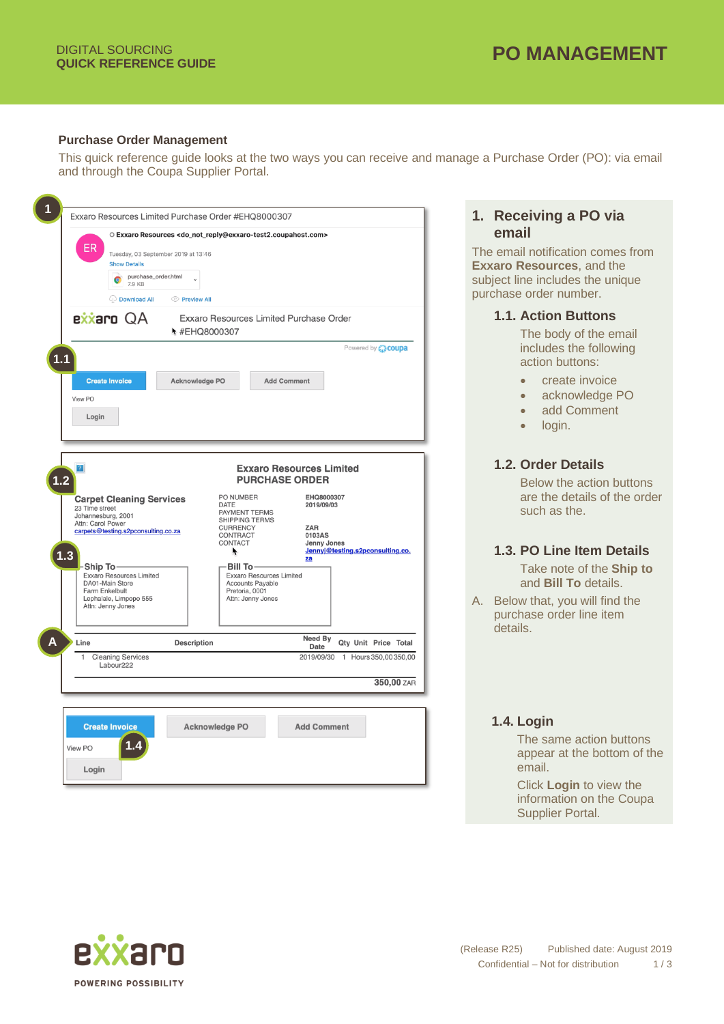### **Purchase Order Management**

This quick reference guide looks at the two ways you can receive and manage a Purchase Order (PO): via email and through the Coupa Supplier Portal.

| ER.<br><b>Show Details</b><br>purchase_order.html<br>7.9 KB<br><b>Download All</b>                                                                                                                                                                                                                                     | O Exxaro Resources <do_not_reply@exxaro-test2.coupahost.com><br/>Tuesday, 03 September 2019 at 13:46<br/>◯ Preview All</do_not_reply@exxaro-test2.coupahost.com>                                                                  |                                                                                                                                                                 | email<br>The email notif<br><b>Exxaro Resou</b><br>subject line inc<br>purchase order                                              |
|------------------------------------------------------------------------------------------------------------------------------------------------------------------------------------------------------------------------------------------------------------------------------------------------------------------------|-----------------------------------------------------------------------------------------------------------------------------------------------------------------------------------------------------------------------------------|-----------------------------------------------------------------------------------------------------------------------------------------------------------------|------------------------------------------------------------------------------------------------------------------------------------|
| exxaro QA<br>$1.1$<br><b>Create Invoice</b><br>View PO<br>Login                                                                                                                                                                                                                                                        | Exxaro Resources Limited Purchase Order<br>₦ #EHQ8000307<br>Acknowledge PO                                                                                                                                                        | <b>Add Comment</b>                                                                                                                                              | <b>1.1. Actio</b><br>The b<br>includ<br>Powered by <b>Coupa</b><br>action                                                          |
| $\vert$ ? $\vert$<br>$1.2^{\circ}$<br><b>Carpet Cleaning Services</b><br>23 Time street<br>Johannesburg, 2001<br>Attn: Carol Power<br>carpets@testing.s2pconsulting.co.za<br>$1.3$<br>-Ship To-<br><b>Exxaro Resources Limited</b><br>DA01-Main Store<br>Farm Enkelbult<br>Lephalale, Limpopo 555<br>Attn: Jenny Jones | PO NUMBER<br><b>DATE</b><br><b>PAYMENT TERMS</b><br>SHIPPING TERMS<br><b>CURRENCY</b><br>CONTRACT<br>CONTACT<br>K<br><b>Bill To</b><br><b>Exxaro Resources Limited</b><br>Accounts Payable<br>Pretoria, 0001<br>Attn: Jenny Jones | <b>Exxaro Resources Limited</b><br><b>PURCHASE ORDER</b><br>EHQ8000307<br>2019/09/03<br><b>ZAR</b><br>0103AS<br>Jenny Jones<br>Jennyj@testing.s2pconsulting.co. | <b>1.2. Orde</b><br><b>Below</b><br>are th<br>such a<br>1.3. PO L<br>Take ı<br>and $B$<br>A. Below that.<br>purchase c<br>details. |
| Line<br><b>Cleaning Services</b><br>1<br>Labour222<br><b>Create Invoice</b>                                                                                                                                                                                                                                            | <b>Description</b><br><b>Acknowledge PO</b>                                                                                                                                                                                       | Need By<br><b>Date</b><br>2019/09/30 1 Hours 350,00350,00<br><b>Add Comment</b>                                                                                 | Qty Unit Price Total<br>350,00 ZAR<br>1.4. Login<br>The sa                                                                         |



ication comes from **Example Blue** ludes the unique mumber.

### **n** Buttons

ody of the email les the following buttons:

- reate invoice
- cknowledge PO
- dd Comment
- gin.

### **1.2. Order Details**

the action buttons e details of the order as the.

## **1.** *Postails*

note of the **Ship to Bill To** details.

. vou will find the prder line item

## **1.4. Login**

ame action buttons r at the bottom of the

**Login** to view the information on the Coupa Supplier Portal.

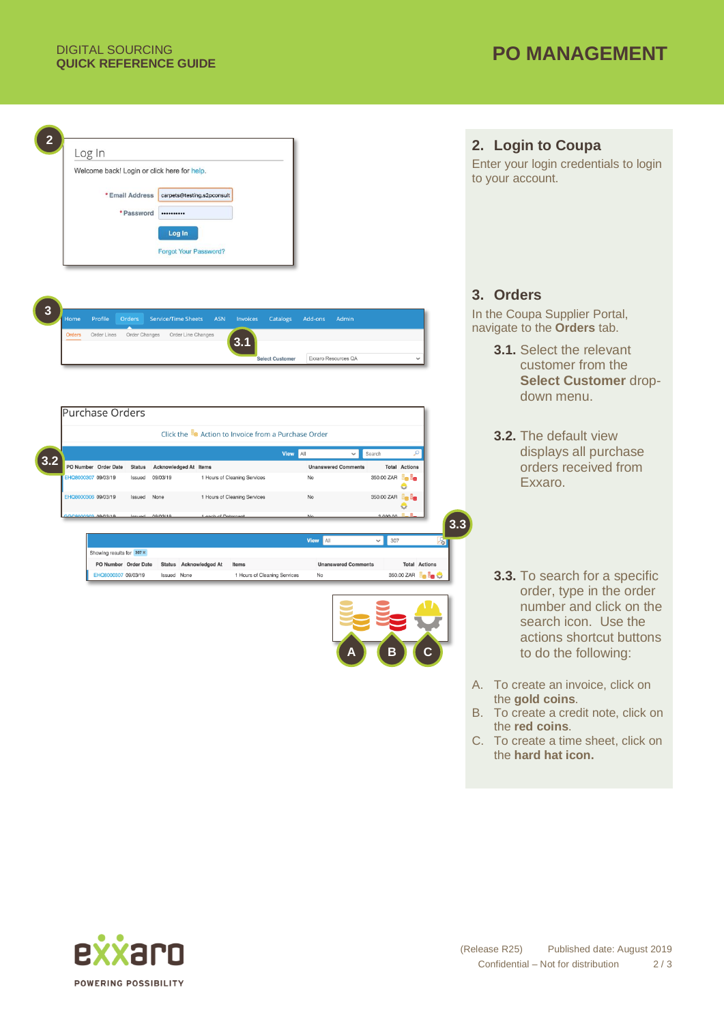

- A. To create an invoice, click on the **gold coins**.
- B. To create a credit note, click on the **red coins**.
- C. To create a time sheet, click on the **hard hat icon.**